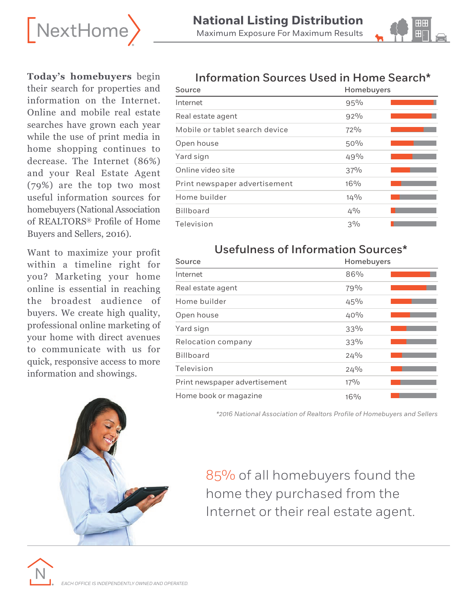



**Today's homebuyers** begin their search for properties and information on the Internet. Online and mobile real estate searches have grown each year while the use of print media in home shopping continues to decrease. The Internet (86%) and your Real Estate Agent (79%) are the top two most useful information sources for homebuyers (National Association of REALTORS® Profile of Home Buyers and Sellers, 2016).

Want to maximize your profit within a timeline right for you? Marketing your home online is essential in reaching the broadest audience of buyers. We create high quality, professional online marketing of your home with direct avenues to communicate with us for quick, responsive access to more information and showings.



### Information Sources Used in Home Search\*

| Source                         | Homebuyers |  |
|--------------------------------|------------|--|
| Internet                       | 95%        |  |
| Real estate agent              | 92%        |  |
| Mobile or tablet search device | 72%        |  |
| Open house                     | 50%        |  |
| Yard sign                      | 49%        |  |
| Online video site              | 37%        |  |
| Print newspaper advertisement  | $16\%$     |  |
| Home builder                   | $14\%$     |  |
| <b>Billboard</b>               | $4\%$      |  |
| Television                     | $3\%$      |  |

### Usefulness of Information Sources\*

| Source                        | Homebuyers |  |
|-------------------------------|------------|--|
| Internet                      | 86%        |  |
| Real estate agent             | 79%        |  |
| Home builder                  | 45%        |  |
| Open house                    | 40%        |  |
| Yard sign                     | 33%        |  |
| Relocation company            | 33%        |  |
| <b>Billboard</b>              | 24%        |  |
| Television                    | 24%        |  |
| Print newspaper advertisement | $17\%$     |  |
| Home book or magazine         | $16\%$     |  |

*\*2016 National Association of Realtors Profile of Homebuyers and Sellers*

85% of all homebuyers found the home they purchased from the Internet or their real estate agent.

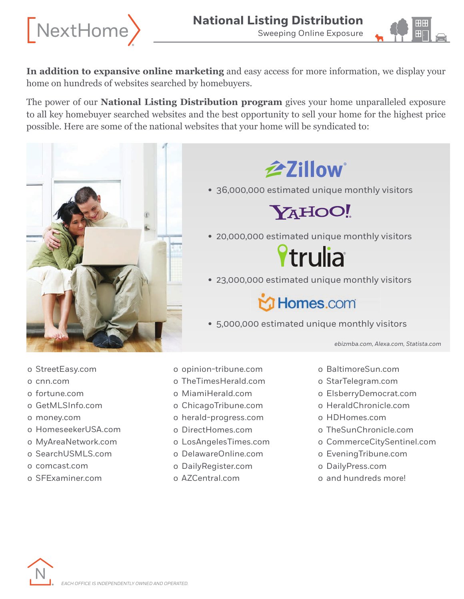



**In addition to expansive online marketing** and easy access for more information, we display your home on hundreds of websites searched by homebuyers.

The power of our **National Listing Distribution program** gives your home unparalleled exposure to all key homebuyer searched websites and the best opportunity to sell your home for the highest price possible. Here are some of the national websites that your home will be syndicated to:



## **全Zillow**

• 36,000,000 estimated unique monthly visitors



• 20,000,000 estimated unique monthly visitors

# **Ytrulia**

• 23,000,000 estimated unique monthly visitors

Homes.com

• 5,000,000 estimated unique monthly visitors

*ebizmba.com, Alexa.com, Statista.com* 

- o StreetEasy.com
- o cnn.com
- o fortune.com
- o GetMLSInfo.com
- o money.com
- o HomeseekerUSA.com
- o MyAreaNetwork.com
- o SearchUSMLS.com
- o comcast.com
- o SFExaminer.com
- o opinion-tribune.com
- o TheTimesHerald.com
- o MiamiHerald.com
- o ChicagoTribune.com
- o herald-progress.com
- o DirectHomes.com
- o LosAngelesTimes.com
- o DelawareOnline.com
- o DailyRegister.com
- o AZCentral.com
- o BaltimoreSun.com
- o StarTelegram.com
- o ElsberryDemocrat.com
- o HeraldChronicle.com
- o HDHomes.com
- o TheSunChronicle.com
- o CommerceCitySentinel.com
- o EveningTribune.com
- o DailyPress.com
- o and hundreds more!